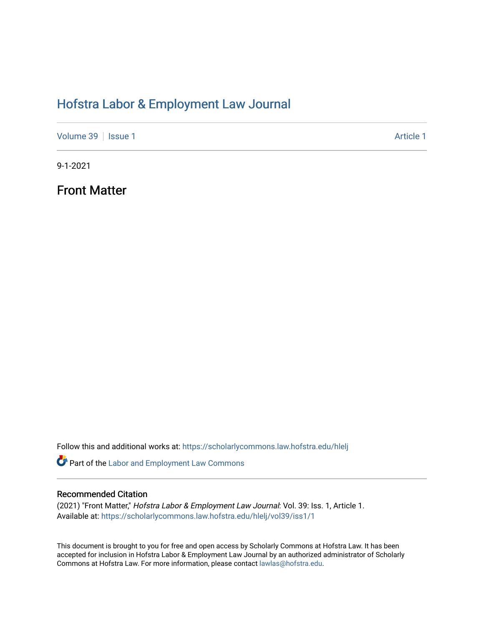## [Hofstra Labor & Employment Law Journal](https://scholarlycommons.law.hofstra.edu/hlelj)

[Volume 39](https://scholarlycommons.law.hofstra.edu/hlelj/vol39) | [Issue 1](https://scholarlycommons.law.hofstra.edu/hlelj/vol39/iss1) Article 1

9-1-2021

Front Matter

Follow this and additional works at: [https://scholarlycommons.law.hofstra.edu/hlelj](https://scholarlycommons.law.hofstra.edu/hlelj?utm_source=scholarlycommons.law.hofstra.edu%2Fhlelj%2Fvol39%2Fiss1%2F1&utm_medium=PDF&utm_campaign=PDFCoverPages)

Part of the [Labor and Employment Law Commons](https://network.bepress.com/hgg/discipline/909?utm_source=scholarlycommons.law.hofstra.edu%2Fhlelj%2Fvol39%2Fiss1%2F1&utm_medium=PDF&utm_campaign=PDFCoverPages)

### Recommended Citation

(2021) "Front Matter," Hofstra Labor & Employment Law Journal: Vol. 39: Iss. 1, Article 1. Available at: [https://scholarlycommons.law.hofstra.edu/hlelj/vol39/iss1/1](https://scholarlycommons.law.hofstra.edu/hlelj/vol39/iss1/1?utm_source=scholarlycommons.law.hofstra.edu%2Fhlelj%2Fvol39%2Fiss1%2F1&utm_medium=PDF&utm_campaign=PDFCoverPages) 

This document is brought to you for free and open access by Scholarly Commons at Hofstra Law. It has been accepted for inclusion in Hofstra Labor & Employment Law Journal by an authorized administrator of Scholarly Commons at Hofstra Law. For more information, please contact [lawlas@hofstra.edu.](mailto:lawlas@hofstra.edu)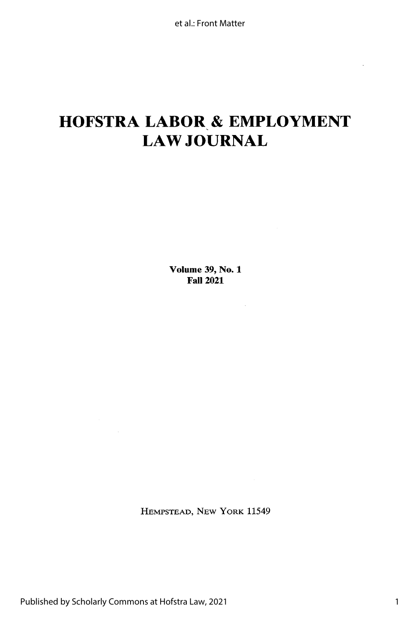# **HOFSTRA LABOR** & **EMPLOYMENT** LAW JOURNAL

**Volume 39, No. 1 Fall 2021**

HEMPSTEAD, NEw YORK 11549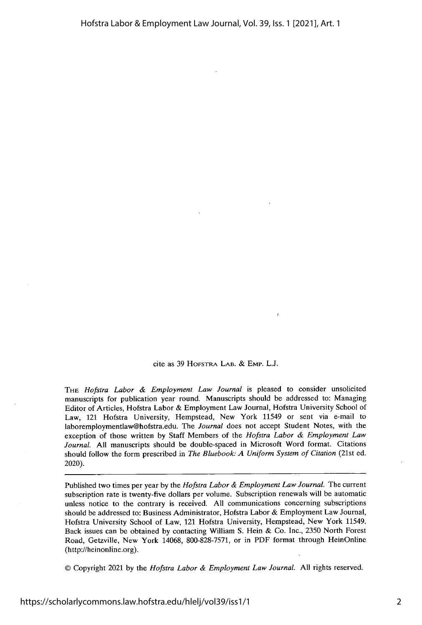**cite as 39 HorsTRA LAB. & EMP. LJ.**

**THE** *Hofstra Labor & Employment Law Journal* **is pleased to consider unsolicited manuscripts for publication year round. Manuscripts should be addressed to: Managing Editor of Articles, Hofstra Labor** & **Employment Law Journal, Hofstra University School of Law, 121 Hofstra University, Hempstead, New York 11549 or sent via** e-mail **to laboremploymentlaw@hofstra.edu. The** *Journal* **does not accept Student Notes, with the exception of those written by Staff Members of the** *Hofstra Labor & Employment Law Journal.* **All manuscripts should be double-spaced in Microsoft Word format. Citations should follow the form prescribed in** *The Bluebook: A Uniform System of Citation* **(21st ed. 2020).**

**Published two times per year by the** *Hofstra Labor & Employment Law Journal.* **The current subscription rate is twenty-five dollars per volume. Subscription renewals will be automatic unless notice to the contrary is received. All communications concerning subscriptions should be addressed to: Business Administrator, Hofstra Labor** & **Employment Law Journal, Hofstra University School of Law, 121 Hofstra University, Hempstead, New York 11549. Back issues can be obtained by contacting William S. Hein & Co. Inc., 2350 North Forest Road, Getzville, New York 14068, 800-828-7571, or in PDF format through HeinOnline (http://heinonline.org).**

**© Copyright 2021 by the** *Hofstra Labor & Employment Law Journal.* **All rights reserved.**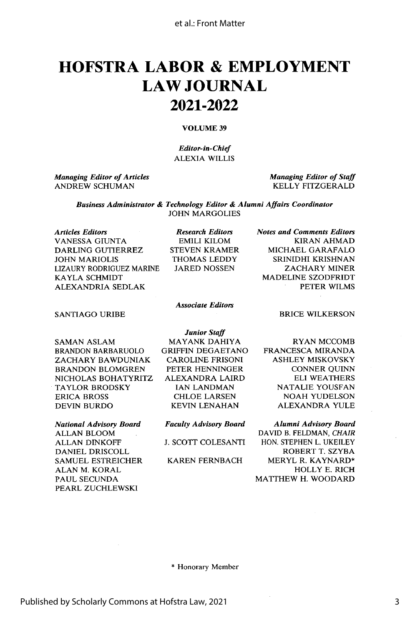## **HOFSTRA LABOR & EMPLOYMENT LAW JOURNAL 2021-2022**

### **VOLUME 39**

*Editor-in-Chief* ALEXIA WILLIS

*Managing Editor of Articles* ANDREW SCHUMAN

*Managing Editor of Staff* KELLY FITZGERALD

*Business Administrator & Technology Editor & Alumni Affairs Coordinator* JOHN MARGOLIES

*Articles Editors* VANESSA GIUNTA DARLING GUTIERREZ JOHN MARIOLIS LIZAURY RODRIGUEZ MARINE KAYLA SCHMIDT ALEXANDRIA SEDLAK

*Research Editors* EMILI KILOM STEVEN KRAMER THOMAS LEDDY JARED NOSSEN

*Notes and Comments Editors* KIRAN AHMAD MICHAEL GARAFALO SRINIDHI KRISHNAN ZACHARY MINER MADELINE SZODFRIDT PETER WILMS

SANTIAGO URIBE

*Associate Editors*

BRICE WILKERSON

SAMAN ASLAM BRANDON BARBARUOLO ZACHARY BAWDUNIAK BRANDON BLOMGREN NICHOLAS BOHATYRITZ TAYLOR BRODSKY ERICA BROSS DEVIN BURDO

*National Advisory Board* ALLAN BLOOM ALLAN DINKOFF DANIEL DRISCOLL SAMUEL ESTREICHER ALAN M. KORAL PAUL SECUNDA PEARL ZUCHLEWSKI

*Junior Staff* MAYANK DAHIYA GRIFFIN DEGAETANO CAROLINE FRISONI PETER HENNINGER ALEXANDRA LAIRD IAN LANDMAN CHLOE LARSEN KEVIN LENAHAN

*Faculty Advisory Board*

J. SCOTT COLESANTI

KAREN FERNBACH

RYAN MCCOMB FRANCESCA MIRANDA ASHLEY MISKOVSKY CONNER QUINN ELI WEATHERS NATALIE YOUSFAN NOAH YUDELSON ALEXANDRA YULE

*Alumni Advisory Board* DAVID B. FELDMAN, *CHAIR* HON. STEPHEN L. UKEILEY ROBERT T. SZYBA MERYL R. KAYNARD\* HOLLY E. RICH MATTHEW H. WOODARD

\* Honorary Member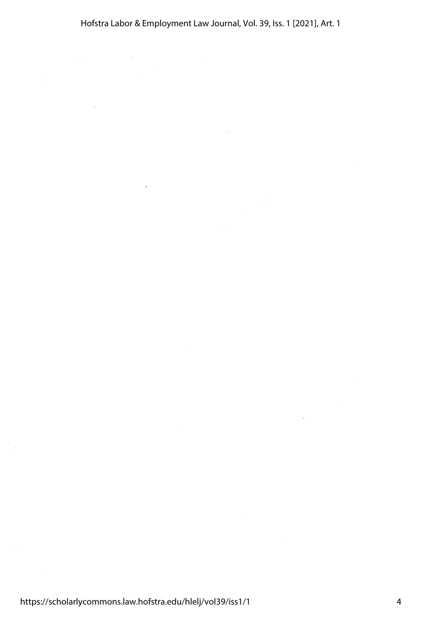https://scholarlycommons.law.hofstra.edu/hlelj/vol39/iss1/1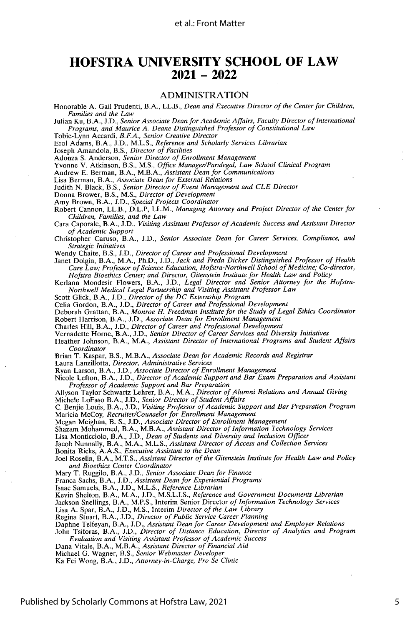### **HOFSTRA UNIVERSITY SCHOOL OF LAW 2021 - 2022**

#### ADMINISTRATION

**Honorable A. Gail Prudenti, B.A., LL.B.,** *Dean and Executive Director of the Center for Children, Families and the Law*

**Julian Ku, B.A., J.D.,** *Senior Associate Dean for Academic Affairs, Faculty Director of International Programs, and Maurice A. Deane Distinguished Professor of Constitutional Law*

**Tobie-Lynn Accardi,** *B.F.A., Senior Creative Director* **Erol Adams, B.A., J.D., M.L.S.,** *Reference and Scholarly Services Librarian*

**Joseph Amandola, B.S.,** *Director of Facilities* **Adonza S. Anderson,** *Senior Director of Enrollment Management*

**Yvonne V. Atkinson, B.S., M.S.,** *Office Manager/Paralegal, Law School Clinical Program*

**Andrew E. Berman, B.A., M.B.A.,** *Assistant Dean for Communications*

**Lisa Berman, B.A.,** *Associate Dean for External Relations* **Judith N. Black, B.S.,** *Senior Director of Event Management and CLE Director*

**Donna Brower, B.S., M.S.,** *Director of Development*

**Amy Brown, B.A., J.D.,** *Special Projects Coordinator*

**Robert Cannon, LL.B., D.L.P, LL.M.,** *Managing Attorney and Project Director of the Center for Children, Families, and the Law*

**Cara Caporale, B.A., J.D.,** *Visiting Assistant Professor of Academic Success and Assistant Director of Academic Support*

**Christopher Caruso, B.A., J.D.,** *Senior Associate Dean for Career Services, Compliance, and Strategic Initiatives*

**Wendy Chaite, B.S., J.D.,** *Director of Career and Professional Development*

**Janet Dolgin, B.A., M.A., Ph.D., J.D.,** *Jack and Freda Dicker Distinguished Professor of Health Care Law; Professor of Science Education, Hofstra-Northwell School of Medicine; Co-director, Hofstra Bioethics Center; and Director, Gitenstein Institute for Health Law and Policy*

**Kerlann Mondesir Flowers, B.A., J.D.,** *Legal Director and Senior Attorney for the Hofstra-Northwell Medical Legal Partnership and Visiting Assistant Professor Law*

**Scott Glick, B.A., J.D.,** *Director of the DC Externship Program*

**Celia Gordon, B.A., J.D.,** *Director of Career and Professional Development* **Deborah Grattan, B.A.,** *Monroe H. Freedman Institute for the Study of Legal Ethics Coordinator*

**Robert Harrison, B.A., J.D.,** *Associate Dean for Enrollment Management*

**Charles Hill, B.A., J.D.,** *Director of Career and Professional Development*

**Vernadette Horne, B.A., J.D.,** *Senior Director of Career Services and Diversity Initiatives*

**Heather Johnson, B.A., M.A.,** *Assistant Director of International Programs and Student Affairs Coordinator*

**Brian T. Kaspar, B.S., M.B.A.,** *Associate Dean for Academic Records and Registrar*

**Laura Lanzillotta,** *Director, Administrative Services*

**Ryan Larson, B.A., J.D.,** *Associate Director of Enrollment Management*

**Nicole Lefton, B.A., J.D.,** *Director of Academic Support and Bar Exam Preparation and Assistant Professor of Academic Support and Bar Preparation*

**Allyson Taylor Schwartz Lehrer, B.A., M.A.,** *Director of Alumni Relations and Annual Giving* **Michele LoFaso B.A., J.D.,** *Senior Director of Student Affairs*

*C.* **Benjie Louis, B.A., J.D.,** *Visiting Professor of Academic Support and Bar Preparation Program* **Maricia McCoy,** *Recruiter/Counselor for Enrollment Management*

**Megan Meighan, B. S., J.D.,** *Associate Director of Enrollment Management*

**Shazam Mohammed, B.A., M.B.A.,** *Assistant Director of Information Technology Services*

**Lisa Monticciolo, B.A., J.D.,** *Dean of Students and Diversity and Inclusion Officer*

**Jacob Nunnally, B.A., M.A., M.L.S.,** *Assistant Director of Access and Collection Services*

**Bonita Ricks, A.A.S.,** *Executive Assistant to the Dean*

**Joel Roselin, B.A., M.T.S.,** *Assistant Director of the Gitenstein Institute for Health Law and Policy and Bioethics Center Coordinator*

**Mary T. Ruggilo, B.A., J.D.,** *Senior Associate Dean for Finance*

**Franca Sachs, B.A., J.D.,** *Assistant Dean for Experiential Programs*

**Isaac Samuels, B.A., J.D., M.L.S.,** *Reference Librarian* **Kevin Shelton, B.A., M.A., J.D., M.S.L.I.S.,** *Reference and Government Documents Librarian*

**Jackson Snellings, B.A., M.P.S., Interim Senior Director** *of Information Technology Services*

**Lisa A. Spar, B.A., J.D., M.S., Interim** *Director of the Law Library*

**Regina Stuart, B.A., J.D.,** *Director of Public Service Career Planning*

**Daphne Telfeyan, B.A., J.D.,** *Assistant Dean for Career Development and Employer Relations* **John Tsiforas, B.A., J.D.,** *Director of Distance Education, Director of Analytics and Program Evaluation and Visiting Assistant Professor of Academic Success*

**Dana Vitale, B.A., M.B.A.,** *Assistant Director of Financial Aid* **Michael G. Wagner, B.S.,** *Senior Webmaster Developer*

**Ka Fei Wong, B.A., J.D.,** *Attorney-in-Charge, Pro Se Clinic*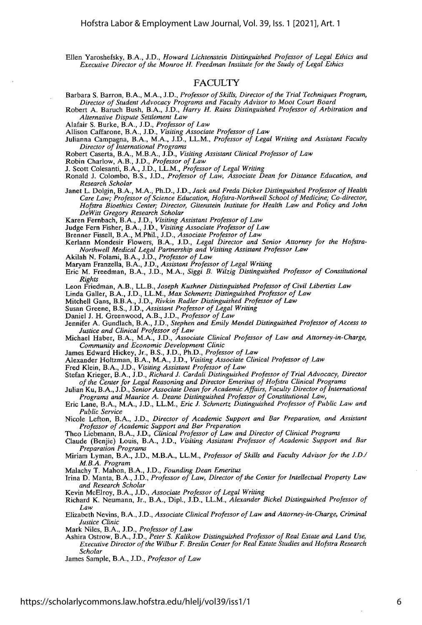Ellen Yaroshefsky, B.A., J.D., *Howard Lichtenstein Distinguished Professor of Legal Ethics and Executive Director of the Monroe H. Freedman Institute for the Study of Legal Ethics*

#### FACULTY

**Barbara S. Barron,** B.A., M.A., J.D., *Professor of Skills, Director of the Trial Techniques Program, Director of Student Advocacy Programs and Faculty Advisor to Moot Court Board*

Robert A. **Baruch Bush,** B.A., J.D., *Harry H. Rains Distinguished Professor of Arbitration and Alternative Dispute Settlement Law*

- Alafair S. **Burke,** B.A., J.D., *Professor of Law*
- Allison Caffarone, B.A., J.D., *Visiting Associate Professor of Law*
- **Julianna Campagna,** B.A., M.A., J.D., LL.M., *Professor of Legal Writing and Assistant Faculty Director of International Programs*

Robert Caserta, B.A., M.B.A., J.D., *Visiting Assistant Clinical Professor of Law*

- **Robin** Charlow, A.B., J.D., *Professor of Law*
- **J. Scott Colesanti,** B.A., J.D., LL.M., *Professor of Legal Writing*

**Ronald J.** Colombo, B.S., J.D., *Professor of Law, Associate Dean for Distance Education, and Research Scholar*

Janet L. **Dolgin,** B.A., M.A., Ph.D., J.D., *Jack and Freda Dicker Distinguished Professor of Health Care Law; Professor of Science Education, Hofstra-Northwell School of Medicine; Co-director, Hofstra Bioethics Center; Director, Gitenstein Institute for Health Law and Policy and John DeWitt Gregory Research Scholar*

**Karen Fernbach,** B.A., J.D., *Visiting Assistant Professor of Law*

**Judge Fern Fisher,** B.A., J.D., *Visiting Associate Professor of Law*

- **Brenner Fissell,** B.A., M.Phil., J.D., *Associate Professor of Law* **Kerlann Mondesir Flowers,** B.A., J.D., *Legal Director and Senior Attorney for the Hofstra-Northwell Medical Legal Partnership and Visiting Assistant Professor Law*
- Akilah **N. Folami,** B.A., J.D., *Professor of Law*

**Maryam Franzella,** B.A., J.D., *Assistant Professor of Legal Writing*

Eric M. **Freedman,** B.A., J.D., M.A., *Siggi B. Wilzig Distinguished Professor of Constitutional Rights*

Leon Friedman, A.B., **LL.B.,** *Joseph Kushner Distinguished Professor of Civil Liberties Law*

Linda Galler, B.A., J.D., LL.M., *Max Schmertz Distinguished Professor of Law*

**Mitchell Gans,** B.B.A., J.D., *Rivkin Radler Distinguished Professor of Law*

**Susan Greene,** B.S., J.D., *Assistant Professor of Legal Writing*

**Daniel J.** H. Greenwood, A.B., J.D., *Professor of Law*

- Jennifer A. **Gundlach,** B.A., J.D., *Stephen and Emily Mendel Distinguished Professor of Access to Justice and Clinical Professor of Law*
- **Michael Haber,** B.A., M.A., J.D., *Associate Clinical Professor of Law and Attorney-in-Charge, Community and Economic Development Clinic*

**James Edward** Hickey, **Jr., B.S.,** J.D., Ph.D., *Professor of Law*

Alexander **Holtzman,** B.A., M.A., J.D., *Visiting Associate Clinical Professor of Law*

**Fred Klein,** B.A., **J.D.,** *Visiting Assistant Professor of Law* **Stefan** Krieger, B.A., J.D., *Richard J. Cardali Distinguished Professor of Trial Advocacy, Director of the Center for Legal Reasoning and Director Emeritus of Hofstra Clinical Programs*

- **Julian Ku,** B.A., J.D., *Senior Associate Dean for Academic Affairs, Faculty Director of International Programs and Maurice A. Deane Distinguished Professor of Constitutional Law,*
- Eric Lane, B.A., M.A., J.D., LL.M., *Eric J. Schmertz Distinguished Professor of Public Law and Public Service*

Nicole Lefton, B.A., J.D., *Director of Academic Support and Bar Preparation, and Assistant Professor of Academic Support and Bar Preparation*

Theo Liebmann, B.A., J.D., *Clinical Professor of Law and Director of Clinical Programs*

Claude **(Benjie)** Louis, B.A., J.D., *Visiting Assistant Professor of Academic Support and Bar Preparation Programs*

Miriam Lyman, B.A., J.D., M.B.A., LL.M., *Professor of Skills and Faculty Advisor for the J.D./ M.B.A. Program* Malachy T. **Mahon,** B.A., J.D., *Founding Dean Emeritus*

**Irina D. Manta,** B.A., J.D., *Professor of Law, Director of the Center for Intellectual Property Law and Research Scholar*

Kevin McElroy, B.A., J.D., *Associate Professor of Legal Writing*

**Richard K. Neumann,** Jr., B.A., Dipl., J.D., LL.M., *Alexander Bickel Distinguished Professor of Law*

Elizabeth **Nevins,** B.A., J.D., *Associate Clinical Professor of Law and Attorney-in-Charge, Criminal Justice Clinic*

Mark Niles, B.A., J.D., *Professor of Law*

- Ashira Ostrow, B.A., J.D., *Peter S. Kalikow Distinguished Professor of Real Estate and Land Use, Executive Director of the Wilbur F. Breslin Center for Real Estate Studies and Hofstra Research Scholar*
- James Sample, B.A., J.D., *Professor of Law*

6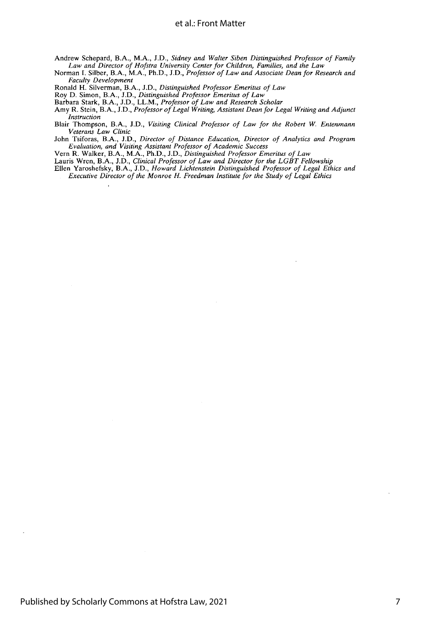**Andrew Schepard, B.A., M.A., J.D.,** *Sidney and Walter Siben Distinguished Professor of Family Law and Director of Hofstra University Center for Children, Families, and the Law*

**Norman I. Silber, B.A., M.A., Ph.D., J.D.,** *Professor of Law and Associate Dean for Research and Faculty Development*

Ronald H. Silverman, B.A., J.D., *Distinguished Professor Emeritus of Law*<br>Roy D. Simon, B.A., J.D., *Distinguished Professor Emeritus of Law*<br>Barbara Stark, B.A., J.D., LL.M., *Professor of Law and Research Scholar* 

**Amy R. Stein, B.A., J.D.,** *Professor of Legal Writing, Assistant Dean for Legal Writing and Adjunct Instruction*

**Blair Thompson, B.A., J.D.,** *Visiting Clinical Professor of Law for the Robert W. Entenmann Veterans Law Clinic*

**John Tsiforas, B.A., J.D.,** *Director of Distance Education, Director of Analytics and Program Evaluation, and Visiting Assistant Professor of Academic Success*

**Vern R. Walker, B.A., M.A., Ph.D., J.D.,** *Distinguished Professor Emeritus of Law*

**Lauris Wren, B.A., J.D.,** *Clinical Professor of Law and Director for the LGBT Fellowship*

**Ellen Yaroshefsky, B.A., J.D.,** *Howard Lichtenstein Distinguished Professor of Legal Ethics and Executive Director of the Monroe H. Freedman Institute for the Study of Legal Ethics*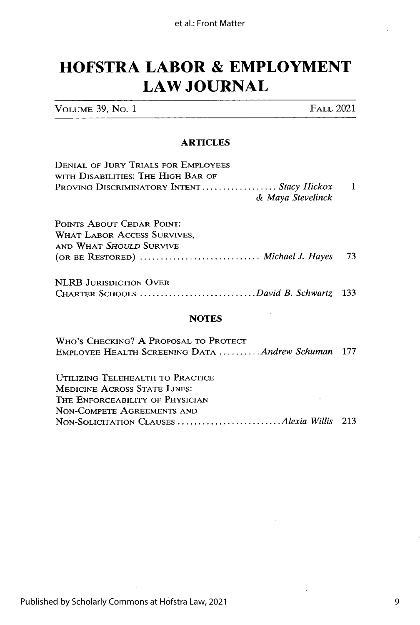## **HOFSTRA LABOR & EMPLOYMENT LAW JOURNAL**

VOLUME *39,* No. 1 FALL 2021

### **ARTICLES**

| DENIAL OF JURY TRIALS FOR EMPLOYEES           |     |
|-----------------------------------------------|-----|
| WITH DISABILITIES: THE HIGH BAR OF            |     |
| PROVING DISCRIMINATORY INTENT Stacy Hickox    | 1   |
| & Maya Stevelinck                             |     |
| POINTS ABOUT CEDAR POINT:                     |     |
| <b>WHAT LABOR ACCESS SURVIVES,</b>            |     |
| AND WHAT SHOULD SURVIVE                       |     |
| (OR BE RESTORED)  Michael J. Hayes            | 73  |
| <b>NLRB JURISDICTION OVER</b>                 |     |
|                                               | 133 |
| <b>NOTES</b>                                  |     |
| WHO'S CHECKING? A PROPOSAL TO PROTECT         |     |
| EMPLOYEE HEALTH SCREENING DATA Andrew Schuman | 177 |

UTILIZING TELEHEALTH TO PRACTICE MEDICINE ACROSS STATE LINES: THE ENFORCEABILITY OF PHYSICIAN NON-COMPETE AGREEMENTS AND NON-SOLICITATION CLAUSES *......................... Alexia Willis* 213

Published by Scholarly Commons at Hofstra Law, 2021

9